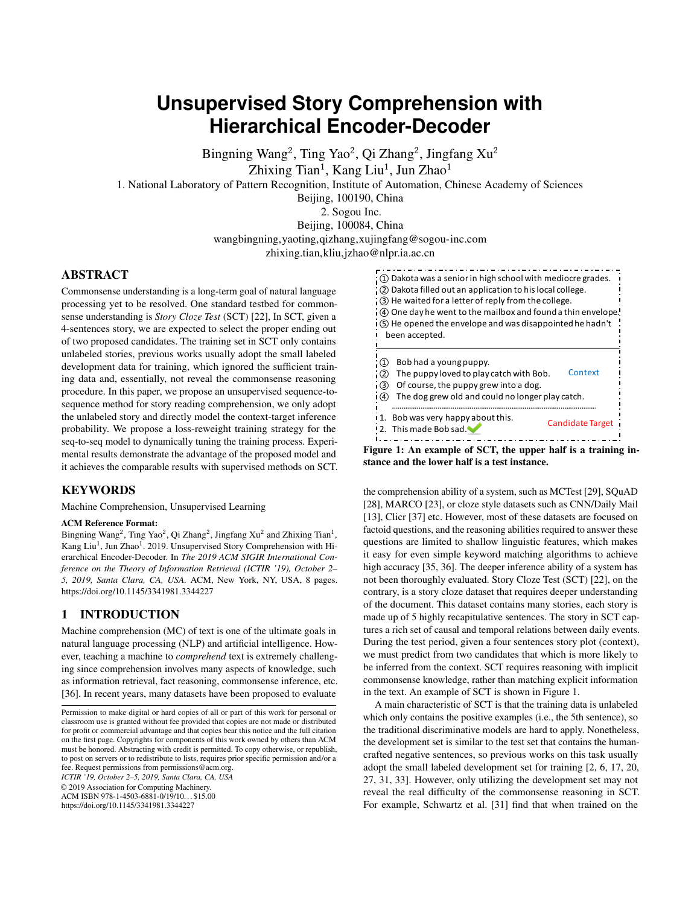# **Unsupervised Story Comprehension with Hierarchical Encoder-Decoder**

Bingning Wang<sup>2</sup>, Ting Yao<sup>2</sup>, Qi Zhang<sup>2</sup>, Jingfang Xu<sup>2</sup>

Zhixing Tian<sup>1</sup>, Kang Liu<sup>1</sup>, Jun Zhao<sup>1</sup>

1. National Laboratory of Pattern Recognition, Institute of Automation, Chinese Academy of Sciences

Beijing, 100190, China

2. Sogou Inc.

Beijing, 100084, China

wangbingning,yaoting,qizhang,xujingfang@sogou-inc.com

zhixing.tian,kliu,jzhao@nlpr.ia.ac.cn

# ABSTRACT

Commonsense understanding is a long-term goal of natural language processing yet to be resolved. One standard testbed for commonsense understanding is *Story Cloze Test* (SCT) [\[22\]](#page-7-0), In SCT, given a 4-sentences story, we are expected to select the proper ending out of two proposed candidates. The training set in SCT only contains unlabeled stories, previous works usually adopt the small labeled development data for training, which ignored the sufficient training data and, essentially, not reveal the commonsense reasoning procedure. In this paper, we propose an unsupervised sequence-tosequence method for story reading comprehension, we only adopt the unlabeled story and directly model the context-target inference probability. We propose a loss-reweight training strategy for the seq-to-seq model to dynamically tuning the training process. Experimental results demonstrate the advantage of the proposed model and it achieves the comparable results with supervised methods on SCT.

# **KEYWORDS**

Machine Comprehension, Unsupervised Learning

#### ACM Reference Format:

Bingning Wang<sup>2</sup>, Ting Yao<sup>2</sup>, Qi Zhang<sup>2</sup>, Jingfang Xu<sup>2</sup> and Zhixing Tian<sup>1</sup>, Kang Liu<sup>1</sup>, Jun Zhao<sup>1</sup>. 2019. Unsupervised Story Comprehension with Hierarchical Encoder-Decoder. In *The 2019 ACM SIGIR International Conference on the Theory of Information Retrieval (ICTIR '19), October 2– 5, 2019, Santa Clara, CA, USA.* ACM, New York, NY, USA, [8](#page-7-1) pages. <https://doi.org/10.1145/3341981.3344227>

## 1 INTRODUCTION

Machine comprehension (MC) of text is one of the ultimate goals in natural language processing (NLP) and artificial intelligence. However, teaching a machine to *comprehend* text is extremely challenging since comprehension involves many aspects of knowledge, such as information retrieval, fact reasoning, commonsense inference, etc. [\[36\]](#page-7-2). In recent years, many datasets have been proposed to evaluate

*ICTIR '19, October 2–5, 2019, Santa Clara, CA, USA*

© 2019 Association for Computing Machinery.

ACM ISBN 978-1-4503-6881-0/19/10. . . \$15.00

<https://doi.org/10.1145/3341981.3344227>

<span id="page-0-0"></span>

Figure 1: An example of SCT, the upper half is a training instance and the lower half is a test instance.

the comprehension ability of a system, such as MCTest [\[29\]](#page-7-3), SQuAD [\[28\]](#page-7-4), MARCO [\[23\]](#page-7-5), or cloze style datasets such as CNN/Daily Mail [\[13\]](#page-7-6), Clicr [\[37\]](#page-7-7) etc. However, most of these datasets are focused on factoid questions, and the reasoning abilities required to answer these questions are limited to shallow linguistic features, which makes it easy for even simple keyword matching algorithms to achieve high accuracy [\[35,](#page-7-8) [36\]](#page-7-2). The deeper inference ability of a system has not been thoroughly evaluated. Story Cloze Test (SCT) [\[22\]](#page-7-0), on the contrary, is a story cloze dataset that requires deeper understanding of the document. This dataset contains many stories, each story is made up of 5 highly recapitulative sentences. The story in SCT captures a rich set of causal and temporal relations between daily events. During the test period, given a four sentences story plot (context), we must predict from two candidates that which is more likely to be inferred from the context. SCT requires reasoning with implicit commonsense knowledge, rather than matching explicit information in the text. An example of SCT is shown in Figure [1.](#page-0-0)

A main characteristic of SCT is that the training data is unlabeled which only contains the positive examples (i.e., the 5th sentence), so the traditional discriminative models are hard to apply. Nonetheless, the development set is similar to the test set that contains the humancrafted negative sentences, so previous works on this task usually adopt the small labeled development set for training [\[2,](#page-7-9) [6,](#page-7-10) [17,](#page-7-11) [20,](#page-7-12) [27,](#page-7-13) [31,](#page-7-14) [33\]](#page-7-15). However, only utilizing the development set may not reveal the real difficulty of the commonsense reasoning in SCT. For example, Schwartz et al. [\[31\]](#page-7-14) find that when trained on the

Permission to make digital or hard copies of all or part of this work for personal or classroom use is granted without fee provided that copies are not made or distributed for profit or commercial advantage and that copies bear this notice and the full citation on the first page. Copyrights for components of this work owned by others than ACM must be honored. Abstracting with credit is permitted. To copy otherwise, or republish, to post on servers or to redistribute to lists, requires prior specific permission and/or a fee. Request permissions from permissions@acm.org.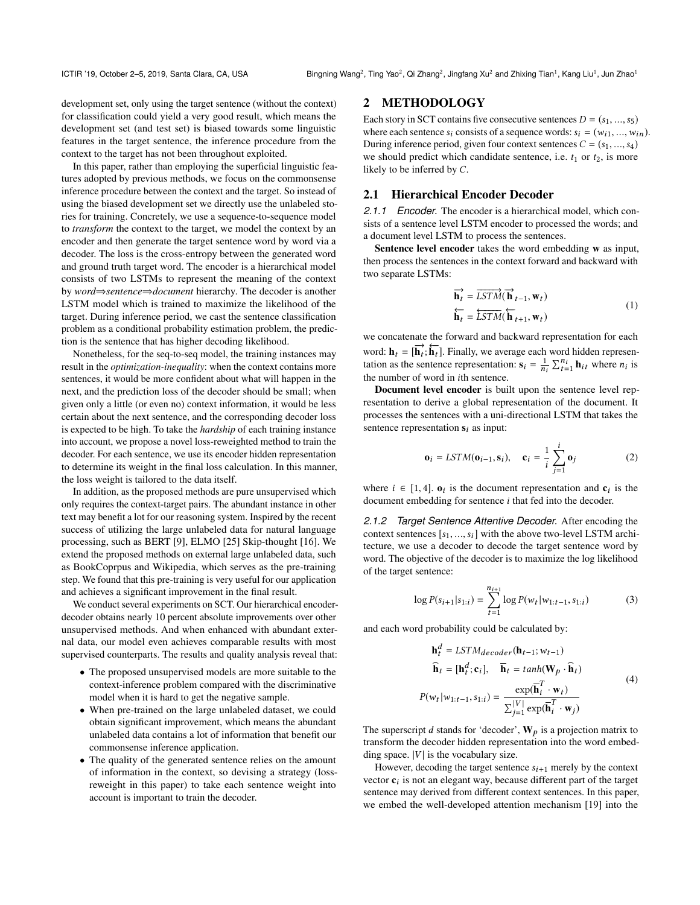development set, only using the target sentence (without the context) for classification could yield a very good result, which means the development set (and test set) is biased towards some linguistic features in the target sentence, the inference procedure from the context to the target has not been throughout exploited.

In this paper, rather than employing the superficial linguistic features adopted by previous methods, we focus on the commonsense inference procedure between the context and the target. So instead of using the biased development set we directly use the unlabeled stories for training. Concretely, we use a sequence-to-sequence model to *transform* the context to the target, we model the context by an encoder and then generate the target sentence word by word via a decoder. The loss is the cross-entropy between the generated word and ground truth target word. The encoder is a hierarchical model consists of two LSTMs to represent the meaning of the context by *word*⇒*sentence*⇒*document* hierarchy. The decoder is another LSTM model which is trained to maximize the likelihood of the target. During inference period, we cast the sentence classification problem as a conditional probability estimation problem, the prediction is the sentence that has higher decoding likelihood.

Nonetheless, for the seq-to-seq model, the training instances may result in the *optimization-inequality*: when the context contains more sentences, it would be more confident about what will happen in the next, and the prediction loss of the decoder should be small; when given only a little (or even no) context information, it would be less certain about the next sentence, and the corresponding decoder loss is expected to be high. To take the *hardship* of each training instance into account, we propose a novel loss-reweighted method to train the decoder. For each sentence, we use its encoder hidden representation to determine its weight in the final loss calculation. In this manner, the loss weight is tailored to the data itself.

In addition, as the proposed methods are pure unsupervised which only requires the context-target pairs. The abundant instance in other text may benefit a lot for our reasoning system. Inspired by the recent success of utilizing the large unlabeled data for natural language processing, such as BERT [\[9\]](#page-7-16), ELMO [\[25\]](#page-7-17) Skip-thought [\[16\]](#page-7-18). We extend the proposed methods on external large unlabeled data, such as BookCoprpus and Wikipedia, which serves as the pre-training step. We found that this pre-training is very useful for our application and achieves a significant improvement in the final result.

We conduct several experiments on SCT. Our hierarchical encoderdecoder obtains nearly 10 percent absolute improvements over other unsupervised methods. And when enhanced with abundant external data, our model even achieves comparable results with most supervised counterparts. The results and quality analysis reveal that:

- The proposed unsupervised models are more suitable to the context-inference problem compared with the discriminative model when it is hard to get the negative sample.
- When pre-trained on the large unlabeled dataset, we could obtain significant improvement, which means the abundant unlabeled data contains a lot of information that benefit our commonsense inference application.
- The quality of the generated sentence relies on the amount of information in the context, so devising a strategy (lossreweight in this paper) to take each sentence weight into account is important to train the decoder.

# 2 METHODOLOGY

Each story in SCT contains five consecutive sentences  $D = (s_1, ..., s_5)$ where each sentence  $s_i$  consists of a sequence words:  $s_i = (w_{i1}, ..., w_{in}).$ During inference period, given four context sentences  $C = (s_1, ..., s_4)$ we should predict which candidate sentence, i.e.  $t_1$  or  $t_2$ , is more likely to be inferred by C.

# 2.1 Hierarchical Encoder Decoder

*2.1.1 Encoder.* The encoder is a hierarchical model, which consists of a sentence level LSTM encoder to processed the words; and a document level LSTM to process the sentences.

Sentence level encoder takes the word embedding w as input, then process the sentences in the context forward and backward with two separate LSTMs:

$$
\overrightarrow{\mathbf{h}_{t}} = \overrightarrow{LSTM}(\overrightarrow{\mathbf{h}}_{t-1}, \mathbf{w}_{t})
$$
\n
$$
\overleftarrow{\mathbf{h}_{t}} = \overleftarrow{LSTM}(\overleftarrow{\mathbf{h}}_{t+1}, \mathbf{w}_{t})
$$
\n(1)

we concatenate the forward and backward representation for each word:  $\mathbf{h}_t = [\mathbf{h}_t^{\dagger}; \mathbf{h}_t^{\dagger}]$ . Finally, we average each word hidden representation as the sentence representation:  $\mathbf{s}_i = \frac{1}{n_i} \sum_{t=1}^{n_i} \mathbf{h}_{it}$  where  $n_i$  is the number of word in ith sentence.

Document level encoder is built upon the sentence level representation to derive a global representation of the document. It processes the sentences with a uni-directional LSTM that takes the sentence representation  $s_i$  as input:

$$
\mathbf{o}_i = LSTM(\mathbf{o}_{i-1}, \mathbf{s}_i), \quad \mathbf{c}_i = \frac{1}{i} \sum_{j=1}^i \mathbf{o}_j
$$
 (2)

where  $i \in [1, 4]$ .  $\mathbf{o}_i$  is the document representation and  $\mathbf{c}_i$  is the decoder document embedding for sentence i that fed into the decoder.

*2.1.2 Target Sentence Attentive Decoder.* After encoding the context sentences  $[s_1, ..., s_i]$  with the above two-level LSTM architecture, we use a decoder to decode the target sentence word by word. The objective of the decoder is to maximize the log likelihood of the target sentence:

<span id="page-1-0"></span>
$$
\log P(s_{i+1}|s_{1:i}) = \sum_{t=1}^{n_{i+1}} \log P(w_t|w_{1:t-1}, s_{1:i})
$$
 (3)

and each word probability could be calculated by:

<span id="page-1-1"></span>
$$
\mathbf{h}_t^d = LSTM_{decoder}(\mathbf{h}_{t-1}; w_{t-1})
$$
  
\n
$$
\mathbf{\hat{h}}_t = [\mathbf{h}_t^d; \mathbf{c}_i], \quad \mathbf{\bar{h}}_t = tanh(\mathbf{W}_p \cdot \mathbf{\hat{h}}_t)
$$
  
\n
$$
P(w_t|w_{1:t-1}, s_{1:i}) = \frac{\exp(\mathbf{\bar{h}}_t^T \cdot \mathbf{w}_t)}{\sum_{j=1}^{|V|} \exp(\mathbf{\bar{h}}_t^T \cdot \mathbf{w}_j)}
$$
(4)

The superscript d stands for 'decoder',  $W_p$  is a projection matrix to transform the decoder hidden representation into the word embedding space.  $|V|$  is the vocabulary size.

However, decoding the target sentence  $s_{i+1}$  merely by the context vector  $c_i$  is not an elegant way, because different part of the target sentence may derived from different context sentences. In this paper, we embed the well-developed attention mechanism [\[19\]](#page-7-19) into the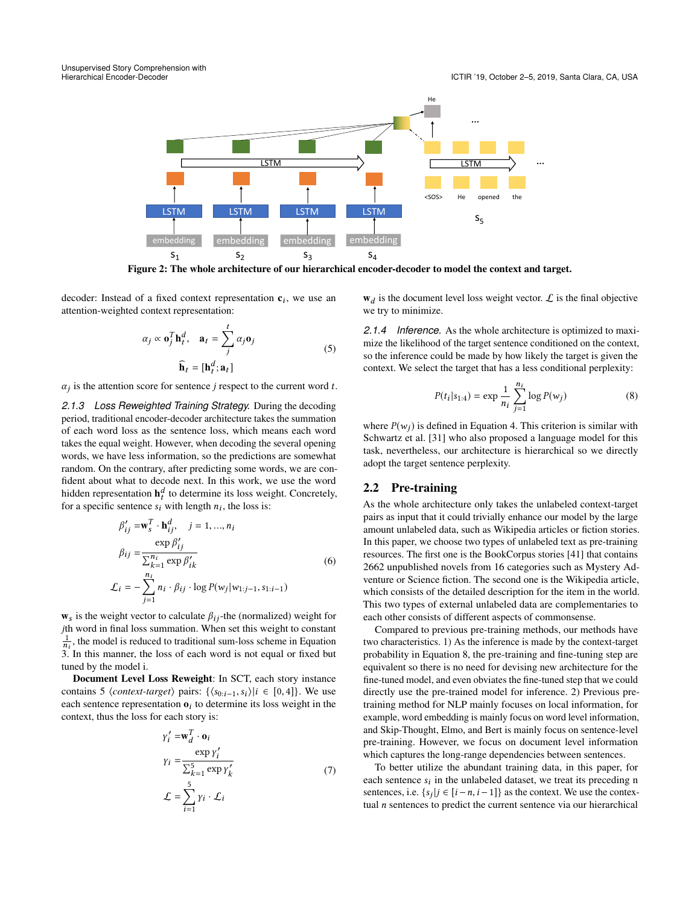

Figure 2: The whole architecture of our hierarchical encoder-decoder to model the context and target.

decoder: Instead of a fixed context representation  $c_i$ , we use an attention-weighted context representation:

$$
\alpha_j \propto \mathbf{0}_j^T \mathbf{h}_t^d, \quad \mathbf{a}_t = \sum_j^t \alpha_j \mathbf{0}_j
$$
  

$$
\widehat{\mathbf{h}}_t = [\mathbf{h}_t^d; \mathbf{a}_t]
$$
 (5)

 $\alpha_j$  is the attention score for sentence j respect to the current word t.

*2.1.3 Loss Reweighted Training Strategy.* During the decoding period, traditional encoder-decoder architecture takes the summation of each word loss as the sentence loss, which means each word takes the equal weight. However, when decoding the several opening words, we have less information, so the predictions are somewhat random. On the contrary, after predicting some words, we are confident about what to decode next. In this work, we use the word hidden representation  $\mathbf{h}_t^d$  to determine its loss weight. Concretely, for a specific sentence  $s_i$  with length  $n_i$ , the loss is:

$$
\beta'_{ij} = \mathbf{w}_s^T \cdot \mathbf{h}_{ij}^d, \quad j = 1, ..., n_i
$$
  
\n
$$
\beta_{ij} = \frac{\exp \beta'_{ij}}{\sum_{k=1}^{n_i} \exp \beta'_{ik}}
$$
  
\n
$$
\mathcal{L}_i = -\sum_{j=1}^{n_i} n_i \cdot \beta_{ij} \cdot \log P(w_j | w_{1:j-1}, s_{1:i-1})
$$
\n(6)

 $\mathbf{w}_s$  is the weight vector to calculate  $\beta_{ij}$ -the (normalized) weight for jth word in final loss summation. When set this weight to constant  $\frac{1}{n_i}$ , the model is reduced to traditional sum-loss scheme in Equation [3.](#page-1-0) In this manner, the loss of each word is not equal or fixed but tuned by the model i.

Document Level Loss Reweight: In SCT, each story instance contains 5  $\langle context\text{-}target \rangle$  pairs:  $\{\langle s_{0:i-1}, s_i \rangle | i \in [0, 4] \}$ . We use each sentence representation  $\mathbf{o}_i$  to determine its loss weight in the context, thus the loss for each story is:

$$
\gamma_i' = \mathbf{w}_d^T \cdot \mathbf{o}_i
$$
  
\n
$$
\gamma_i = \frac{\exp \gamma_i'}{\sum_{k=1}^5 \exp \gamma_k'}
$$
  
\n
$$
\mathcal{L} = \sum_{i=1}^5 \gamma_i \cdot \mathcal{L}_i
$$
\n(7)

 $w_d$  is the document level loss weight vector.  $\mathcal L$  is the final objective we try to minimize.

*2.1.4 Inference.* As the whole architecture is optimized to maximize the likelihood of the target sentence conditioned on the context, so the inference could be made by how likely the target is given the context. We select the target that has a less conditional perplexity:

<span id="page-2-0"></span>
$$
P(t_i|s_{1:4}) = \exp \frac{1}{n_i} \sum_{j=1}^{n_i} \log P(w_j)
$$
 (8)

where  $P(w_i)$  is defined in Equation [4.](#page-1-1) This criterion is similar with Schwartz et al. [\[31\]](#page-7-14) who also proposed a language model for this task, nevertheless, our architecture is hierarchical so we directly adopt the target sentence perplexity.

## 2.2 Pre-training

As the whole architecture only takes the unlabeled context-target pairs as input that it could trivially enhance our model by the large amount unlabeled data, such as Wikipedia articles or fiction stories. In this paper, we choose two types of unlabeled text as pre-training resources. The first one is the BookCorpus stories [\[41\]](#page-7-20) that contains 2662 unpublished novels from 16 categories such as Mystery Adventure or Science fiction. The second one is the Wikipedia article, which consists of the detailed description for the item in the world. This two types of external unlabeled data are complementaries to each other consists of different aspects of commonsense.

Compared to previous pre-training methods, our methods have two characteristics. 1) As the inference is made by the context-target probability in Equation [8,](#page-2-0) the pre-training and fine-tuning step are equivalent so there is no need for devising new architecture for the fine-tuned model, and even obviates the fine-tuned step that we could directly use the pre-trained model for inference. 2) Previous pretraining method for NLP mainly focuses on local information, for example, word embedding is mainly focus on word level information, and Skip-Thought, Elmo, and Bert is mainly focus on sentence-level pre-training. However, we focus on document level information which captures the long-range dependencies between sentences.

To better utilize the abundant training data, in this paper, for each sentence  $s_i$  in the unlabeled dataset, we treat its preceding n<br>sentences i.e.  $s_i$ ,  $i \in [i - n, i - 1]$ , as the context. We use the contexsentences, i.e.  $\{s_j | j \in [i - n, i - 1]\}$  as the context. We use the contex-<br>tual *n* sentences to predict the current sentence via our hierarchical tual  $n$  sentences to predict the current sentence via our hierarchical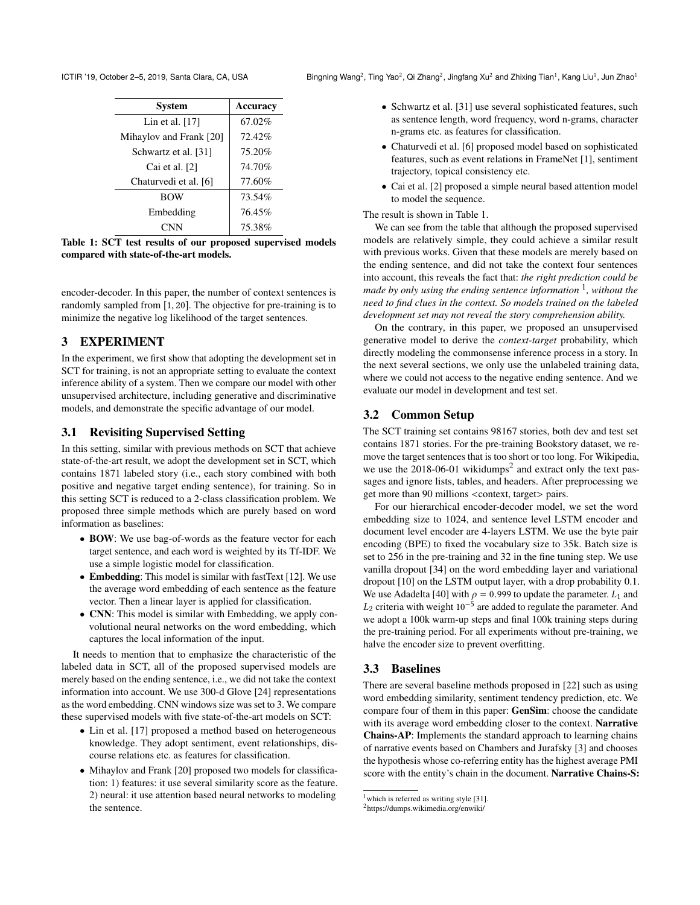<span id="page-3-0"></span>ICTIR '19, October 2-5, 2019, Santa Clara, CA, USA

| <b>System</b>           | <b>Accuracy</b> |
|-------------------------|-----------------|
| Lin et al. $[17]$       | 67.02%          |
| Mihaylov and Frank [20] | 72.42%          |
| Schwartz et al. [31]    | 75.20%          |
| Cai et al. [2]          | 74.70%          |
| Chaturvedi et al. [6]   | 77.60%          |
| <b>BOW</b>              | 73.54%          |
| Embedding               | 76.45%          |
|                         | 75.38%          |

Table 1: SCT test results of our proposed supervised models compared with state-of-the-art models.

encoder-decoder. In this paper, the number of context sentences is randomly sampled from [1, <sup>20</sup>]. The objective for pre-training is to minimize the negative log likelihood of the target sentences.

# 3 EXPERIMENT

In the experiment, we first show that adopting the development set in SCT for training, is not an appropriate setting to evaluate the context inference ability of a system. Then we compare our model with other unsupervised architecture, including generative and discriminative models, and demonstrate the specific advantage of our model.

# 3.1 Revisiting Supervised Setting

In this setting, similar with previous methods on SCT that achieve state-of-the-art result, we adopt the development set in SCT, which contains 1871 labeled story (i.e., each story combined with both positive and negative target ending sentence), for training. So in this setting SCT is reduced to a 2-class classification problem. We proposed three simple methods which are purely based on word information as baselines:

- BOW: We use bag-of-words as the feature vector for each target sentence, and each word is weighted by its Tf-IDF. We use a simple logistic model for classification.
- Embedding: This model is similar with fastText [\[12\]](#page-7-21). We use the average word embedding of each sentence as the feature vector. Then a linear layer is applied for classification.
- CNN: This model is similar with Embedding, we apply convolutional neural networks on the word embedding, which captures the local information of the input.

It needs to mention that to emphasize the characteristic of the labeled data in SCT, all of the proposed supervised models are merely based on the ending sentence, i.e., we did not take the context information into account. We use 300-d Glove [\[24\]](#page-7-22) representations as the word embedding. CNN windows size was set to 3. We compare these supervised models with five state-of-the-art models on SCT:

- Lin et al. [\[17\]](#page-7-11) proposed a method based on heterogeneous knowledge. They adopt sentiment, event relationships, discourse relations etc. as features for classification.
- Mihaylov and Frank [\[20\]](#page-7-12) proposed two models for classification: 1) features: it use several similarity score as the feature. 2) neural: it use attention based neural networks to modeling the sentence.

, Ting Yao<sup>2</sup>, Qi Zhang<sup>2</sup>, Jingfang Xu<sup>2</sup> and Zhixing Tian<sup>1</sup>, Kang Liu<sup>1</sup>, Jun Zhao<sup>1</sup>

- Schwartz et al. [\[31\]](#page-7-14) use several sophisticated features, such as sentence length, word frequency, word n-grams, character n-grams etc. as features for classification.
- Chaturvedi et al. [\[6\]](#page-7-10) proposed model based on sophisticated features, such as event relations in FrameNet [\[1\]](#page-7-23), sentiment trajectory, topical consistency etc.
- Cai et al. [\[2\]](#page-7-9) proposed a simple neural based attention model to model the sequence.

#### The result is shown in Table [1.](#page-3-0)

We can see from the table that although the proposed supervised models are relatively simple, they could achieve a similar result with previous works. Given that these models are merely based on the ending sentence, and did not take the context four sentences into account, this reveals the fact that: *the right prediction could be made by only using the ending sentence information* [1](#page-3-1) *, without the need to find clues in the context. So models trained on the labeled development set may not reveal the story comprehension ability.*

On the contrary, in this paper, we proposed an unsupervised generative model to derive the *context-target* probability, which directly modeling the commonsense inference process in a story. In the next several sections, we only use the unlabeled training data, where we could not access to the negative ending sentence. And we evaluate our model in development and test set.

# 3.2 Common Setup

The SCT training set contains 98167 stories, both dev and test set contains 1871 stories. For the pre-training Bookstory dataset, we remove the target sentences that is too short or too long. For Wikipedia, we use the  $2018-06-01$  $2018-06-01$  wikidumps<sup>2</sup> and extract only the text passages and ignore lists, tables, and headers. After preprocessing we get more than 90 millions <context, target> pairs.

For our hierarchical encoder-decoder model, we set the word embedding size to 1024, and sentence level LSTM encoder and document level encoder are 4-layers LSTM. We use the byte pair encoding (BPE) to fixed the vocabulary size to 35k. Batch size is set to 256 in the pre-training and 32 in the fine tuning step. We use vanilla dropout [\[34\]](#page-7-24) on the word embedding layer and variational dropout [\[10\]](#page-7-25) on the LSTM output layer, with a drop probability 0.1. We use Adadelta [\[40\]](#page-7-26) with  $\rho = 0.999$  to update the parameter.  $L_1$  and  $L_2$  criteria with weight 10<sup>-5</sup> are added to regulate the parameter. And we adopt a 100k warm up steps and final 100k training steps during we adopt a 100k warm-up steps and final 100k training steps during the pre-training period. For all experiments without pre-training, we halve the encoder size to prevent overfitting.

# 3.3 Baselines

There are several baseline methods proposed in [\[22\]](#page-7-0) such as using word embedding similarity, sentiment tendency prediction, etc. We compare four of them in this paper: GenSim: choose the candidate with its average word embedding closer to the context. Narrative Chains-AP: Implements the standard approach to learning chains of narrative events based on Chambers and Jurafsky [\[3\]](#page-7-27) and chooses the hypothesis whose co-referring entity has the highest average PMI score with the entity's chain in the document. Narrative Chains-S:

<span id="page-3-1"></span> $1$  which is referred as writing style [\[31\]](#page-7-14).

<span id="page-3-2"></span><sup>2</sup> <https://dumps.wikimedia.org/enwiki/>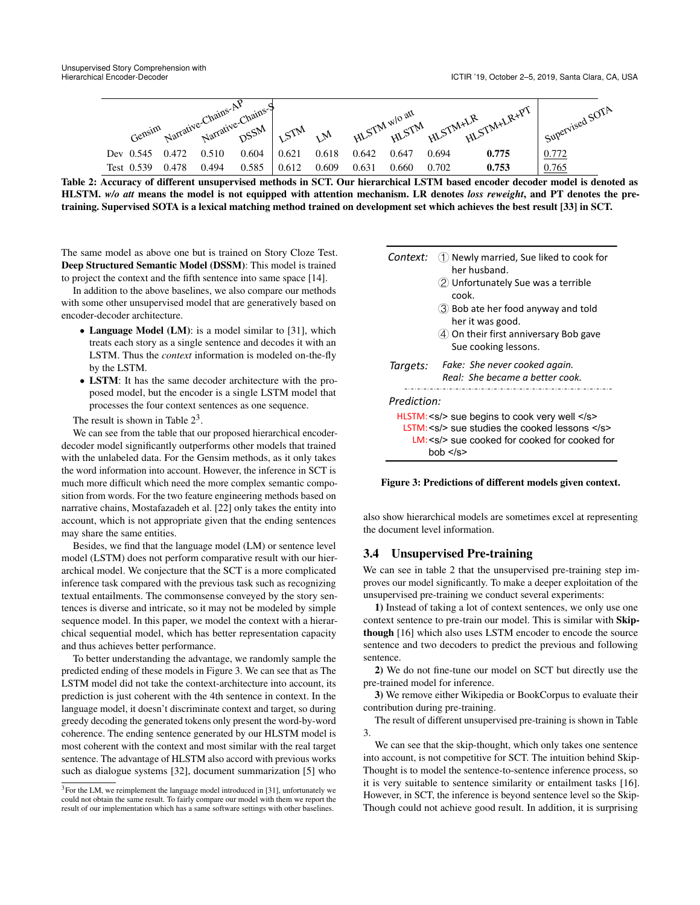<span id="page-4-0"></span>

Table 2: Accuracy of different unsupervised methods in SCT. Our hierarchical LSTM based encoder decoder model is denoted as HLSTM. *w/o att* means the model is not equipped with attention mechanism. LR denotes *loss reweight*, and PT denotes the pretraining. Supervised SOTA is a lexical matching method trained on development set which achieves the best result [\[33\]](#page-7-15) in SCT.

The same model as above one but is trained on Story Cloze Test. Deep Structured Semantic Model (DSSM): This model is trained to project the context and the fifth sentence into same space [\[14\]](#page-7-28).

In addition to the above baselines, we also compare our methods with some other unsupervised model that are generatively based on encoder-decoder architecture.

- Language Model (LM): is a model similar to [\[31\]](#page-7-14), which treats each story as a single sentence and decodes it with an LSTM. Thus the *context* information is modeled on-the-fly by the LSTM.
- LSTM: It has the same decoder architecture with the proposed model, but the encoder is a single LSTM model that processes the four context sentences as one sequence.

The result is shown in Table  $2^3$  $2^3$ .

We can see from the table that our proposed hierarchical encoderdecoder model significantly outperforms other models that trained with the unlabeled data. For the Gensim methods, as it only takes the word information into account. However, the inference in SCT is much more difficult which need the more complex semantic composition from words. For the two feature engineering methods based on narrative chains, Mostafazadeh et al. [\[22\]](#page-7-0) only takes the entity into account, which is not appropriate given that the ending sentences may share the same entities.

Besides, we find that the language model (LM) or sentence level model (LSTM) does not perform comparative result with our hierarchical model. We conjecture that the SCT is a more complicated inference task compared with the previous task such as recognizing textual entailments. The commonsense conveyed by the story sentences is diverse and intricate, so it may not be modeled by simple sequence model. In this paper, we model the context with a hierarchical sequential model, which has better representation capacity and thus achieves better performance.

To better understanding the advantage, we randomly sample the predicted ending of these models in Figure [3.](#page-4-2) We can see that as The LSTM model did not take the context-architecture into account, its prediction is just coherent with the 4th sentence in context. In the language model, it doesn't discriminate context and target, so during greedy decoding the generated tokens only present the word-by-word coherence. The ending sentence generated by our HLSTM model is most coherent with the context and most similar with the real target sentence. The advantage of HLSTM also accord with previous works such as dialogue systems [\[32\]](#page-7-29), document summarization [\[5\]](#page-7-30) who

<span id="page-4-2"></span>

| Context: (1) Newly married, Sue liked to cook for |
|---------------------------------------------------|
| her husband.                                      |

- Unfortunately Sue was a terrible cook.
- Bob ate her food anyway and told her it was good.
- On their first anniversary Bob gave Sue cooking lessons.



Figure 3: Predictions of different models given context.

also show hierarchical models are sometimes excel at representing the document level information.

## 3.4 Unsupervised Pre-training

We can see in table [2](#page-4-0) that the unsupervised pre-training step improves our model significantly. To make a deeper exploitation of the unsupervised pre-training we conduct several experiments:

1) Instead of taking a lot of context sentences, we only use one context sentence to pre-train our model. This is similar with Skipthough [\[16\]](#page-7-18) which also uses LSTM encoder to encode the source sentence and two decoders to predict the previous and following sentence.

2) We do not fine-tune our model on SCT but directly use the pre-trained model for inference.

3) We remove either Wikipedia or BookCorpus to evaluate their contribution during pre-training.

The result of different unsupervised pre-training is shown in Table [3.](#page-5-0)

We can see that the skip-thought, which only takes one sentence into account, is not competitive for SCT. The intuition behind Skip-Thought is to model the sentence-to-sentence inference process, so it is very suitable to sentence similarity or entailment tasks [\[16\]](#page-7-18). However, in SCT, the inference is beyond sentence level so the Skip-Though could not achieve good result. In addition, it is surprising

<span id="page-4-1"></span><sup>&</sup>lt;sup>3</sup>For the LM, we reimplement the language model introduced in [\[31\]](#page-7-14), unfortunately we could not obtain the same result. To fairly compare our model with them we report the result of our implementation which has a same software settings with other baselines.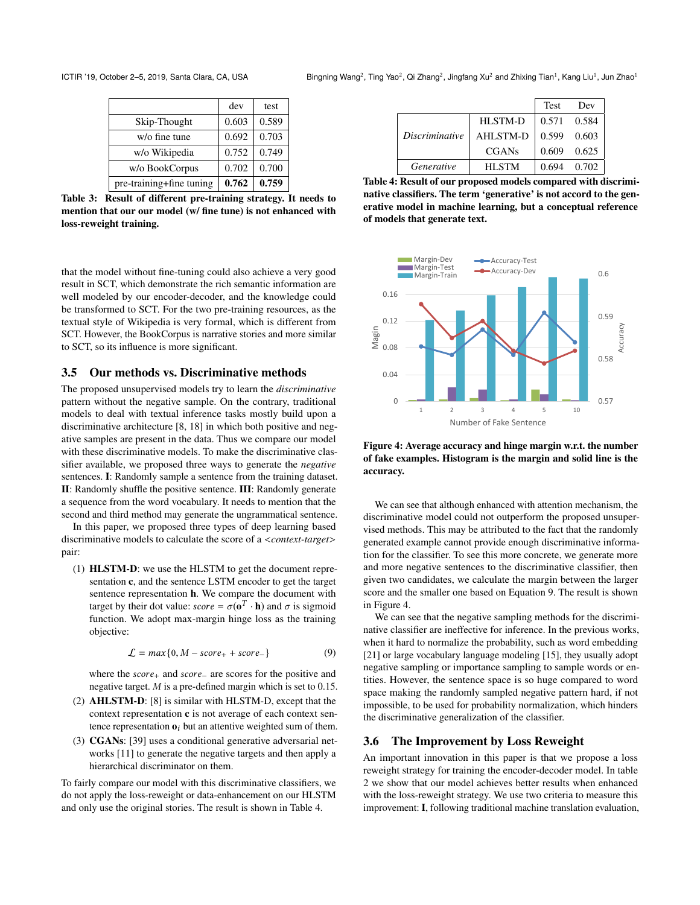<span id="page-5-0"></span>ICTIR '19, October 2-5, 2019, Santa Clara, CA, USA

|                          | dev   | test  |
|--------------------------|-------|-------|
| Skip-Thought             | 0.603 | 0.589 |
| $w$ / $o$ fine tune      | 0.692 | 0.703 |
| w/o Wikipedia            | 0.752 | 0.749 |
| w/o BookCorpus           | 0.702 | 0.700 |
| pre-training+fine tuning | 0.762 | 0.759 |

Table 3: Result of different pre-training strategy. It needs to mention that our our model (w/ fine tune) is not enhanced with loss-reweight training.

that the model without fine-tuning could also achieve a very good result in SCT, which demonstrate the rich semantic information are well modeled by our encoder-decoder, and the knowledge could be transformed to SCT. For the two pre-training resources, as the textual style of Wikipedia is very formal, which is different from SCT. However, the BookCorpus is narrative stories and more similar to SCT, so its influence is more significant.

## 3.5 Our methods vs. Discriminative methods

The proposed unsupervised models try to learn the *discriminative* pattern without the negative sample. On the contrary, traditional models to deal with textual inference tasks mostly build upon a discriminative architecture [\[8,](#page-7-31) [18\]](#page-7-32) in which both positive and negative samples are present in the data. Thus we compare our model with these discriminative models. To make the discriminative classifier available, we proposed three ways to generate the *negative* sentences. I: Randomly sample a sentence from the training dataset. II: Randomly shuffle the positive sentence. III: Randomly generate a sequence from the word vocabulary. It needs to mention that the second and third method may generate the ungrammatical sentence.

In this paper, we proposed three types of deep learning based discriminative models to calculate the score of a <*context-target*> pair:

(1) HLSTM-D: we use the HLSTM to get the document representation c, and the sentence LSTM encoder to get the target sentence representation h. We compare the document with target by their dot value:  $score = \sigma(\mathbf{0}^T \cdot \mathbf{h})$  and  $\sigma$  is sigmoid function. We adopt may margin binge loss as the training function. We adopt max-margin hinge loss as the training objective:

<span id="page-5-2"></span>
$$
\mathcal{L} = \max\{0, M - score_+ + score_-\}\tag{9}
$$

where the *score*<sub>+</sub> and *score*<sub>−</sub> are scores for the positive and negative target. M is a pre-defined margin which is set to 0.15.

- (2) AHLSTM-D: [\[8\]](#page-7-31) is similar with HLSTM-D, except that the context representation  $c$  is not average of each context sentence representation  $\mathbf{o}_i$  but an attentive weighted sum of them.
- (3) CGANs: [\[39\]](#page-7-33) uses a conditional generative adversarial networks [\[11\]](#page-7-34) to generate the negative targets and then apply a hierarchical discriminator on them.

To fairly compare our model with this discriminative classifiers, we do not apply the loss-reweight or data-enhancement on our HLSTM and only use the original stories. The result is shown in Table [4.](#page-5-1)

<span id="page-5-1"></span>

|                       |                 | <b>Test</b>     | Dev   |
|-----------------------|-----------------|-----------------|-------|
|                       | HLSTM-D         | 0.571 0.584     |       |
| <i>Discriminative</i> | <b>AHLSTM-D</b> | 0.599 0.603     |       |
|                       | <b>CGANs</b>    | $0.609$ $0.625$ |       |
| Generative            | <b>HLSTM</b>    | 0.694           | 0.702 |

Table 4: Result of our proposed models compared with discriminative classifiers. The term 'generative' is not accord to the generative model in machine learning, but a conceptual reference of models that generate text.

<span id="page-5-3"></span>

Figure 4: Average accuracy and hinge margin w.r.t. the number of fake examples. Histogram is the margin and solid line is the accuracy.

We can see that although enhanced with attention mechanism, the discriminative model could not outperform the proposed unsupervised methods. This may be attributed to the fact that the randomly generated example cannot provide enough discriminative information for the classifier. To see this more concrete, we generate more and more negative sentences to the discriminative classifier, then given two candidates, we calculate the margin between the larger score and the smaller one based on Equation [9.](#page-5-2) The result is shown in Figure [4.](#page-5-3)

We can see that the negative sampling methods for the discriminative classifier are ineffective for inference. In the previous works, when it hard to normalize the probability, such as word embedding [\[21\]](#page-7-35) or large vocabulary language modeling [\[15\]](#page-7-36), they usually adopt negative sampling or importance sampling to sample words or entities. However, the sentence space is so huge compared to word space making the randomly sampled negative pattern hard, if not impossible, to be used for probability normalization, which hinders the discriminative generalization of the classifier.

#### 3.6 The Improvement by Loss Reweight

An important innovation in this paper is that we propose a loss reweight strategy for training the encoder-decoder model. In table [2](#page-4-0) we show that our model achieves better results when enhanced with the loss-reweight strategy. We use two criteria to measure this improvement: I, following traditional machine translation evaluation,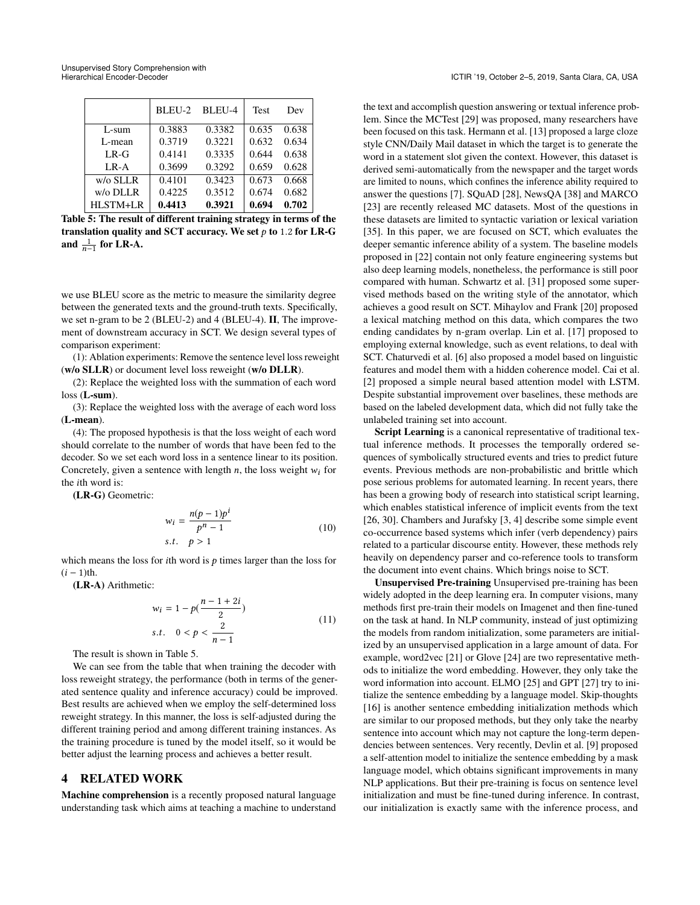<span id="page-6-0"></span>

|                    | BLEU-2 | BLEU-4 | <b>Test</b> | Dev   |
|--------------------|--------|--------|-------------|-------|
| L-sum              | 0.3883 | 0.3382 | 0.635       | 0.638 |
| L-mean             | 0.3719 | 0.3221 | 0.632       | 0.634 |
| $LR-G$             | 0.4141 | 0.3335 | 0.644       | 0.638 |
| LR-A               | 0.3699 | 0.3292 | 0.659       | 0.628 |
| $w$ / $\circ$ SLLR | 0.4101 | 0.3423 | 0.673       | 0.668 |
| $w$ /o DLLR        | 0.4225 | 0.3512 | 0.674       | 0.682 |
| HLSTM+LR           | 0.4413 | 0.3921 | 0.694       | 0.702 |

Table 5: The result of different training strategy in terms of the translation quality and SCT accuracy. We set  $p$  to 1.2 for LR-G and  $\frac{1}{n-1}$  for LR-A.

we use BLEU score as the metric to measure the similarity degree between the generated texts and the ground-truth texts. Specifically, we set n-gram to be 2 (BLEU-2) and 4 (BLEU-4). II, The improvement of downstream accuracy in SCT. We design several types of comparison experiment:

(1): Ablation experiments: Remove the sentence level loss reweight (w/o SLLR) or document level loss reweight (w/o DLLR).

(2): Replace the weighted loss with the summation of each word loss (L-sum).

(3): Replace the weighted loss with the average of each word loss (L-mean).

(4): The proposed hypothesis is that the loss weight of each word should correlate to the number of words that have been fed to the decoder. So we set each word loss in a sentence linear to its position. Concretely, given a sentence with length n, the loss weight  $w_i$  for the ith word is:

(LR-G) Geometric:

$$
w_i = \frac{n(p-1)p^i}{p^n - 1}
$$
  
s.t.  $p > 1$  (10)

which means the loss for *i*th word is  $p$  times larger than the loss for  $(i - 1)$ th.

(LR-A) Arithmetic:

$$
w_i = 1 - p\left(\frac{n-1+2i}{2}\right)
$$
  
s.t.  $0 < p < \frac{2}{n-1}$  (11)

The result is shown in Table [5.](#page-6-0)

We can see from the table that when training the decoder with loss reweight strategy, the performance (both in terms of the generated sentence quality and inference accuracy) could be improved. Best results are achieved when we employ the self-determined loss reweight strategy. In this manner, the loss is self-adjusted during the different training period and among different training instances. As the training procedure is tuned by the model itself, so it would be better adjust the learning process and achieves a better result.

## 4 RELATED WORK

Machine comprehension is a recently proposed natural language understanding task which aims at teaching a machine to understand the text and accomplish question answering or textual inference problem. Since the MCTest [\[29\]](#page-7-3) was proposed, many researchers have been focused on this task. Hermann et al. [\[13\]](#page-7-6) proposed a large cloze style CNN/Daily Mail dataset in which the target is to generate the word in a statement slot given the context. However, this dataset is derived semi-automatically from the newspaper and the target words are limited to nouns, which confines the inference ability required to answer the questions [\[7\]](#page-7-37). SQuAD [\[28\]](#page-7-4), NewsQA [\[38\]](#page-7-38) and MARCO [\[23\]](#page-7-5) are recently released MC datasets. Most of the questions in these datasets are limited to syntactic variation or lexical variation [\[35\]](#page-7-8). In this paper, we are focused on SCT, which evaluates the deeper semantic inference ability of a system. The baseline models proposed in [\[22\]](#page-7-0) contain not only feature engineering systems but also deep learning models, nonetheless, the performance is still poor compared with human. Schwartz et al. [\[31\]](#page-7-14) proposed some supervised methods based on the writing style of the annotator, which achieves a good result on SCT. Mihaylov and Frank [\[20\]](#page-7-12) proposed a lexical matching method on this data, which compares the two ending candidates by n-gram overlap. Lin et al. [\[17\]](#page-7-11) proposed to employing external knowledge, such as event relations, to deal with SCT. Chaturvedi et al. [\[6\]](#page-7-10) also proposed a model based on linguistic features and model them with a hidden coherence model. Cai et al. [\[2\]](#page-7-9) proposed a simple neural based attention model with LSTM. Despite substantial improvement over baselines, these methods are based on the labeled development data, which did not fully take the unlabeled training set into account.

Script Learning is a canonical representative of traditional textual inference methods. It processes the temporally ordered sequences of symbolically structured events and tries to predict future events. Previous methods are non-probabilistic and brittle which pose serious problems for automated learning. In recent years, there has been a growing body of research into statistical script learning, which enables statistical inference of implicit events from the text [\[26,](#page-7-39) [30\]](#page-7-40). Chambers and Jurafsky [\[3,](#page-7-27) [4\]](#page-7-41) describe some simple event co-occurrence based systems which infer (verb dependency) pairs related to a particular discourse entity. However, these methods rely heavily on dependency parser and co-reference tools to transform the document into event chains. Which brings noise to SCT.

Unsupervised Pre-training Unsupervised pre-training has been widely adopted in the deep learning era. In computer visions, many methods first pre-train their models on Imagenet and then fine-tuned on the task at hand. In NLP community, instead of just optimizing the models from random initialization, some parameters are initialized by an unsupervised application in a large amount of data. For example, word2vec [\[21\]](#page-7-35) or Glove [\[24\]](#page-7-22) are two representative methods to initialize the word embedding. However, they only take the word information into account. ELMO [\[25\]](#page-7-17) and GPT [\[27\]](#page-7-13) try to initialize the sentence embedding by a language model. Skip-thoughts [\[16\]](#page-7-18) is another sentence embedding initialization methods which are similar to our proposed methods, but they only take the nearby sentence into account which may not capture the long-term dependencies between sentences. Very recently, Devlin et al. [\[9\]](#page-7-16) proposed a self-attention model to initialize the sentence embedding by a mask language model, which obtains significant improvements in many NLP applications. But their pre-training is focus on sentence level initialization and must be fine-tuned during inference. In contrast, our initialization is exactly same with the inference process, and